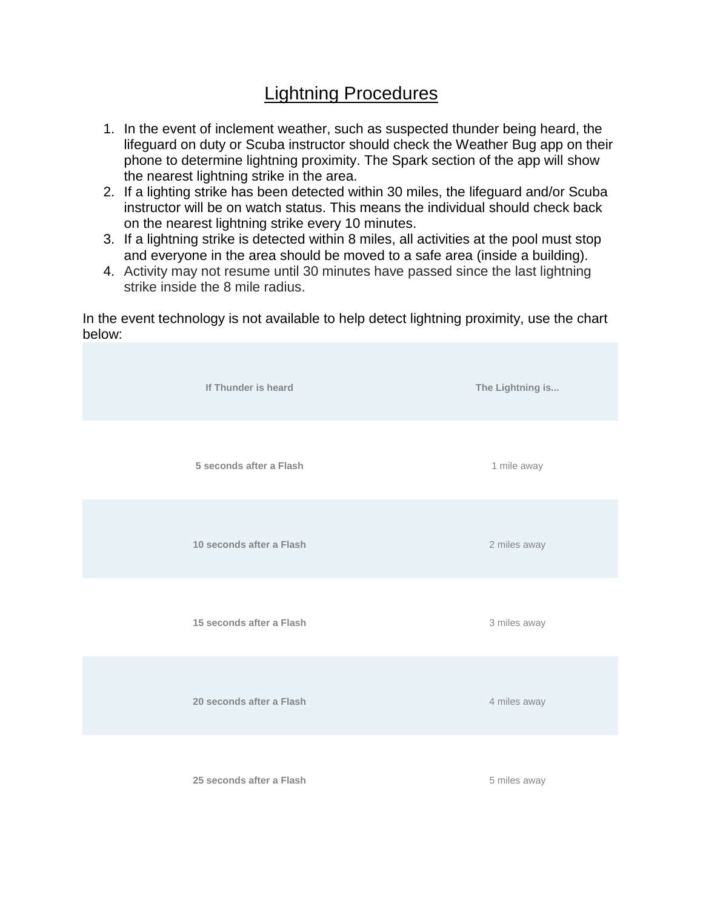## Lightning Procedures

- 1. In the event of inclement weather, such as suspected thunder being heard, the lifeguard on duty or Scuba instructor should check the Weather Bug app on their phone to determine lightning proximity. The Spark section of the app will show the nearest lightning strike in the area.
- 2. If a lighting strike has been detected within 30 miles, the lifeguard and/or Scuba instructor will be on watch status. This means the individual should check back on the nearest lightning strike every 10 minutes.
- 3. If a lightning strike is detected within 8 miles, all activities at the pool must stop and everyone in the area should be moved to a safe area (inside a building).
- 4. Activity may not resume until 30 minutes have passed since the last lightning strike inside the 8 mile radius.

In the event technology is not available to help detect lightning proximity, use the chart below: